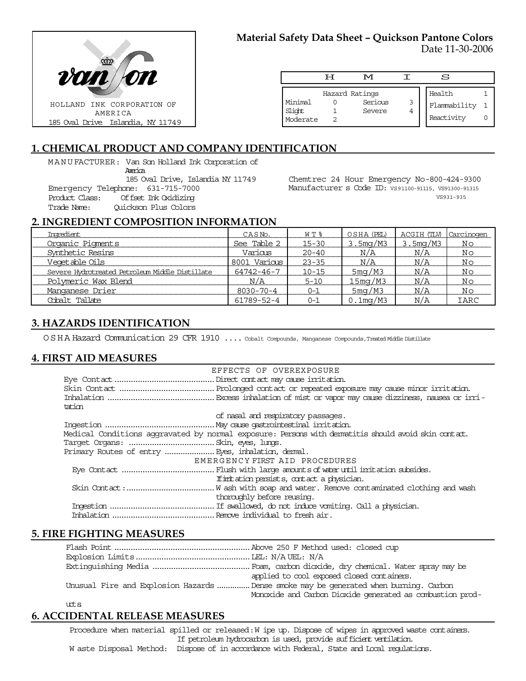

# **Material Safety Data Sheet – Quickson Pantone Colors**

Date 11-30-2006

|                               | ਸ | M                                   |        | S                                    |  |
|-------------------------------|---|-------------------------------------|--------|--------------------------------------|--|
| Minimal<br>Slight<br>Moderate |   | Hazard Ratings<br>Serious<br>Severe | 3<br>4 | Health<br>Flammability<br>Reactivity |  |

## **1. CHEMICAL PRODUCT AND COMPANY IDENTIFICATION**

MANUFACTURER: Van Son Holland Ink Corporation of

America

185 Oval Drive, Islandia NY 11749 Emergency Telephone: 631-715-7000

Offset Ink Oxidizing Trade Name: Quickson Plus Colors

Chemtrec 24 Hour Emergency No-800-424-9300 Manufacturer s Code ID: VS91100-91115, VS91300-91315 VS931-935

## **2. INGREDIENT COMPOSITION INFORMATION**

| Ingredient                                      | CASN <sub>o</sub> . | WT %      | OSHA (PEL)          | ACGIH (TLV) | Carcinogen  |
|-------------------------------------------------|---------------------|-----------|---------------------|-------------|-------------|
| Organic Pigments                                | See Table 2         | $15 - 30$ | 3.5mg/M3            | 3.5mg/M3    | Νo          |
| Synthetic Resins                                | Various             | $20 - 40$ | N/A                 | N/A         | Νo          |
| Veqetable Oils                                  | 8001 Various        | $23 - 35$ | N/A                 | N/A         | Νo          |
| Severe Hydrotreated Petroleum Middle Distillate | 64742-46-7          | $10 - 15$ | 5 <sub>m</sub> q/M3 | N/A         | Νo          |
| Polymeric Wax Blend                             | N/A                 | $5 - 10$  | 15mg/M3             | N/A         | Νo          |
| Manganese Drier                                 | $8030 - 70 - 4$     | $0 - 1$   | 5mg/M3              | N/A         | Νo          |
| Cobalt Tallate                                  | 61789-52-4          | $0 - 1$   | $0.1$ mg/M3         | N/A         | <b>IARC</b> |

## **3. HAZARDS IDENTIFICATION**

OSHA Hazard Communication 29 CFR 1910 .... Cobalt Compounds, Manganese Compounds,Treated Middle Distillate

### **4. FIRST AID MEASURES**

|                                                   | EFFECTS OF OVEREXPOSURE                                                                            |
|---------------------------------------------------|----------------------------------------------------------------------------------------------------|
|                                                   |                                                                                                    |
|                                                   |                                                                                                    |
|                                                   |                                                                                                    |
| tation                                            |                                                                                                    |
|                                                   | of nasal and respiratory passages.                                                                 |
|                                                   |                                                                                                    |
|                                                   | Medical Conditions aggravated by normal exposure: Persons with dematitis should avoid skin contat. |
|                                                   |                                                                                                    |
| Primary Routes of entry  Eyes, inhalation, demal. |                                                                                                    |
|                                                   | EMERGENCY FIRST AID PROCEDURES                                                                     |
|                                                   |                                                                                                    |
|                                                   | If initiation persists, contact a physician.                                                       |
|                                                   |                                                                                                    |
|                                                   | thoroughly before reusing.                                                                         |
|                                                   |                                                                                                    |
|                                                   |                                                                                                    |

## **5. FIRE FIGHTING MEASURES**

|        | applied to cool exposed closed containers.                                           |
|--------|--------------------------------------------------------------------------------------|
|        | Unusual Fire and Explosion Hazards Dense smoke may be generated when burning. Carbon |
|        | Monoxide and Carbon Dioxide generated as combustion prod-                            |
| $10+5$ |                                                                                      |

## **6. ACCIDENTAL RELEASE MEASURES**

Procedure when material spilled or released: W ipe up. Dispose of wipes in approved waste containers. If petroleum hydrocarbon is used, provide sufficient ventilation. W aste Disposal Method: Dispose of in accordance with Federal, State and Local regulations.